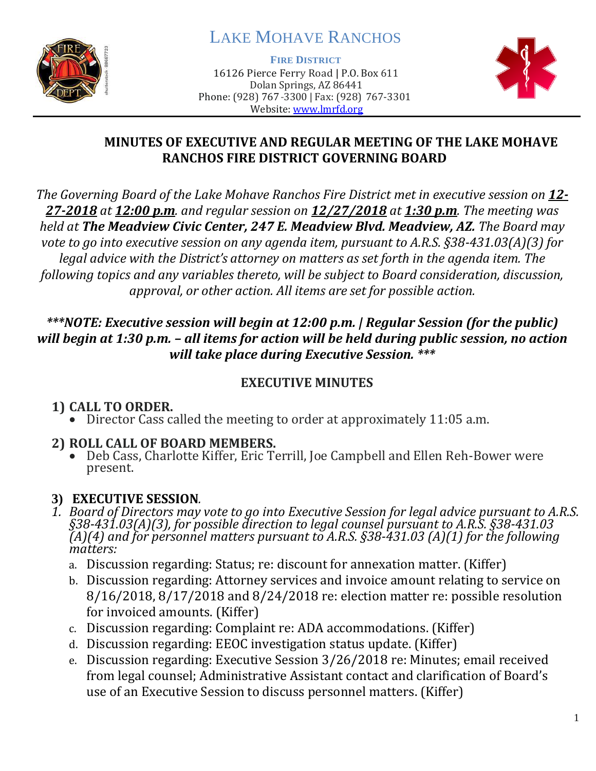

# LAKE MOHAVE RANCHOS

**FIRE DISTRICT**

16126 Pierce Ferry Road | P.O. Box 611 Dolan Springs, AZ 86441 Phone: (928) 767-3300 | Fax: (928) 767-3301 Website: [www.lmrfd.org](http://www.lmrfd.org/)



#### **MINUTES OF EXECUTIVE AND REGULAR MEETING OF THE LAKE MOHAVE RANCHOS FIRE DISTRICT GOVERNING BOARD**

*The Governing Board of the Lake Mohave Ranchos Fire District met in executive session on 12- 27-2018 at 12:00 p.m. and regular session on 12/27/2018 at 1:30 p.m. The meeting was held at The Meadview Civic Center, 247 E. Meadview Blvd. Meadview, AZ. The Board may vote to go into executive session on any agenda item, pursuant to A.R.S. §38-431.03(A)(3) for legal advice with the District's attorney on matters as set forth in the agenda item. The following topics and any variables thereto, will be subject to Board consideration, discussion, approval, or other action. All items are set for possible action.*

#### *\*\*\*NOTE: Executive session will begin at 12:00 p.m. | Regular Session (for the public) will begin at 1:30 p.m. – all items for action will be held during public session, no action will take place during Executive Session. \*\*\**

### **EXECUTIVE MINUTES**

# **1) CALL TO ORDER.**

• Director Cass called the meeting to order at approximately 11:05 a.m.

# **2) ROLL CALL OF BOARD MEMBERS.**

• Deb Cass, Charlotte Kiffer, Eric Terrill, Joe Campbell and Ellen Reh-Bower were present.

# **3) EXECUTIVE SESSION***.*

- *1. Board of Directors may vote to go into Executive Session for legal advice pursuant to A.R.S. §38-431.03(A)(3), for possible direction to legal counsel pursuant to A.R.S. §38-431.03 (A)(4) and for personnel matters pursuant to A.R.S. §38-431.03 (A)(1) for the following matters:*
	- a. Discussion regarding: Status; re: discount for annexation matter. (Kiffer)
	- b. Discussion regarding: Attorney services and invoice amount relating to service on 8/16/2018, 8/17/2018 and 8/24/2018 re: election matter re: possible resolution for invoiced amounts. (Kiffer)
	- c. Discussion regarding: Complaint re: ADA accommodations. (Kiffer)
	- d. Discussion regarding: EEOC investigation status update. (Kiffer)
	- e. Discussion regarding: Executive Session 3/26/2018 re: Minutes; email received from legal counsel; Administrative Assistant contact and clarification of Board's use of an Executive Session to discuss personnel matters. (Kiffer)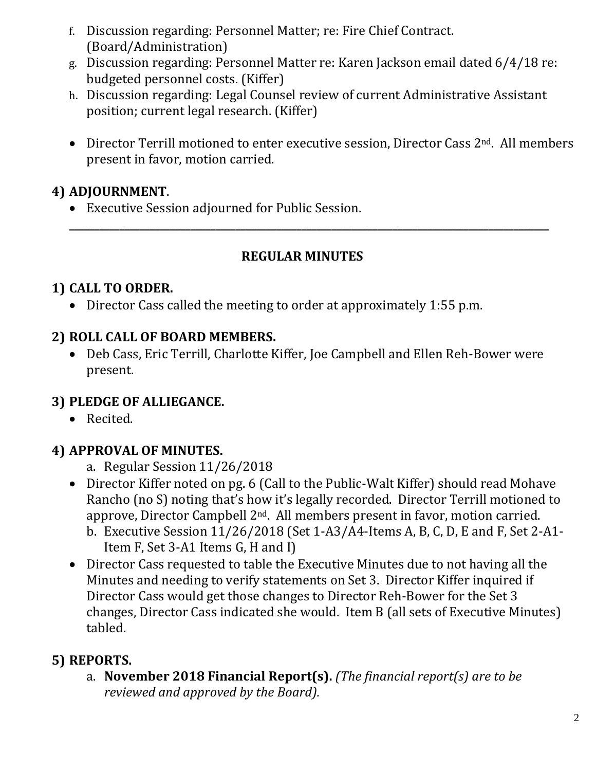- f. Discussion regarding: Personnel Matter; re: Fire Chief Contract. (Board/Administration)
- g. Discussion regarding: Personnel Matter re: Karen Jackson email dated 6/4/18 re: budgeted personnel costs. (Kiffer)
- h. Discussion regarding: Legal Counsel review of current Administrative Assistant position; current legal research. (Kiffer)
- Director Terrill motioned to enter executive session, Director Cass 2<sup>nd</sup>. All members present in favor, motion carried.

### **4) ADJOURNMENT**.

• Executive Session adjourned for Public Session.

#### **REGULAR MINUTES**

**\_\_\_\_\_\_\_\_\_\_\_\_\_\_\_\_\_\_\_\_\_\_\_\_\_\_\_\_\_\_\_\_\_\_\_\_\_\_\_\_\_\_\_\_\_\_\_\_\_\_\_\_\_\_\_\_\_\_\_\_\_\_\_\_\_\_\_\_\_\_\_\_\_\_\_\_\_\_\_\_\_\_\_\_\_\_\_\_\_\_\_\_\_\_\_**

### **1) CALL TO ORDER.**

• Director Cass called the meeting to order at approximately 1:55 p.m.

#### **2) ROLL CALL OF BOARD MEMBERS.**

• Deb Cass, Eric Terrill, Charlotte Kiffer, Joe Campbell and Ellen Reh-Bower were present.

### **3) PLEDGE OF ALLIEGANCE.**

• Recited.

### **4) APPROVAL OF MINUTES.**

- a. Regular Session 11/26/2018
- Director Kiffer noted on pg. 6 (Call to the Public-Walt Kiffer) should read Mohave Rancho (no S) noting that's how it's legally recorded. Director Terrill motioned to approve, Director Campbell 2nd. All members present in favor, motion carried.
	- b. Executive Session 11/26/2018 (Set 1-A3/A4-Items A, B, C, D, E and F, Set 2-A1- Item F, Set 3-A1 Items G, H and I)
- Director Cass requested to table the Executive Minutes due to not having all the Minutes and needing to verify statements on Set 3. Director Kiffer inquired if Director Cass would get those changes to Director Reh-Bower for the Set 3 changes, Director Cass indicated she would. Item B (all sets of Executive Minutes) tabled.

### **5) REPORTS.**

a. **November 2018 Financial Report(s).** *(The financial report(s) are to be reviewed and approved by the Board).*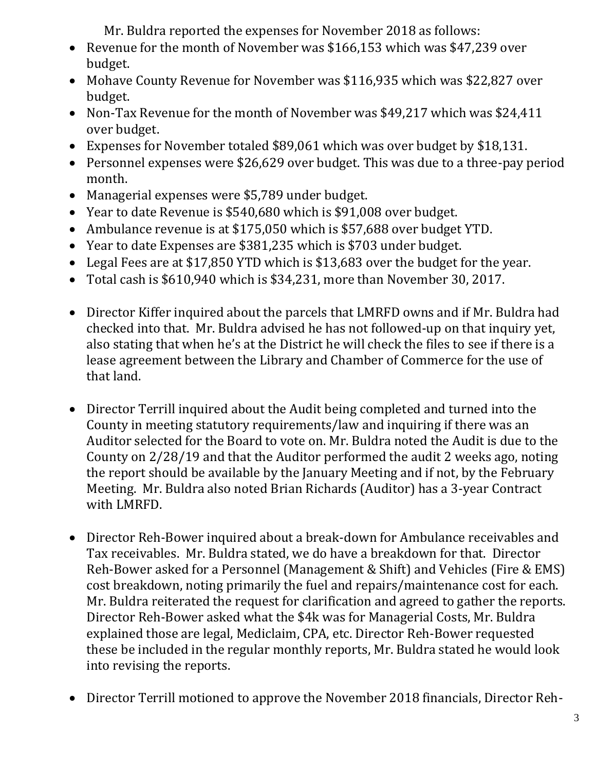Mr. Buldra reported the expenses for November 2018 as follows:

- Revenue for the month of November was \$166,153 which was \$47,239 over budget.
- Mohave County Revenue for November was \$116,935 which was \$22,827 over budget.
- Non-Tax Revenue for the month of November was \$49,217 which was \$24,411 over budget.
- Expenses for November totaled \$89,061 which was over budget by \$18,131.
- Personnel expenses were \$26,629 over budget. This was due to a three-pay period month.
- Managerial expenses were \$5,789 under budget.
- Year to date Revenue is \$540,680 which is \$91,008 over budget.
- Ambulance revenue is at \$175,050 which is \$57,688 over budget YTD.
- Year to date Expenses are \$381,235 which is \$703 under budget.
- Legal Fees are at \$17,850 YTD which is \$13,683 over the budget for the year.
- Total cash is \$610,940 which is \$34,231, more than November 30, 2017.
- Director Kiffer inquired about the parcels that LMRFD owns and if Mr. Buldra had checked into that. Mr. Buldra advised he has not followed-up on that inquiry yet, also stating that when he's at the District he will check the files to see if there is a lease agreement between the Library and Chamber of Commerce for the use of that land.
- Director Terrill inquired about the Audit being completed and turned into the County in meeting statutory requirements/law and inquiring if there was an Auditor selected for the Board to vote on. Mr. Buldra noted the Audit is due to the County on 2/28/19 and that the Auditor performed the audit 2 weeks ago, noting the report should be available by the January Meeting and if not, by the February Meeting. Mr. Buldra also noted Brian Richards (Auditor) has a 3-year Contract with LMRFD.
- Director Reh-Bower inquired about a break-down for Ambulance receivables and Tax receivables. Mr. Buldra stated, we do have a breakdown for that. Director Reh-Bower asked for a Personnel (Management & Shift) and Vehicles (Fire & EMS) cost breakdown, noting primarily the fuel and repairs/maintenance cost for each. Mr. Buldra reiterated the request for clarification and agreed to gather the reports. Director Reh-Bower asked what the \$4k was for Managerial Costs, Mr. Buldra explained those are legal, Mediclaim, CPA, etc. Director Reh-Bower requested these be included in the regular monthly reports, Mr. Buldra stated he would look into revising the reports.
- Director Terrill motioned to approve the November 2018 financials, Director Reh-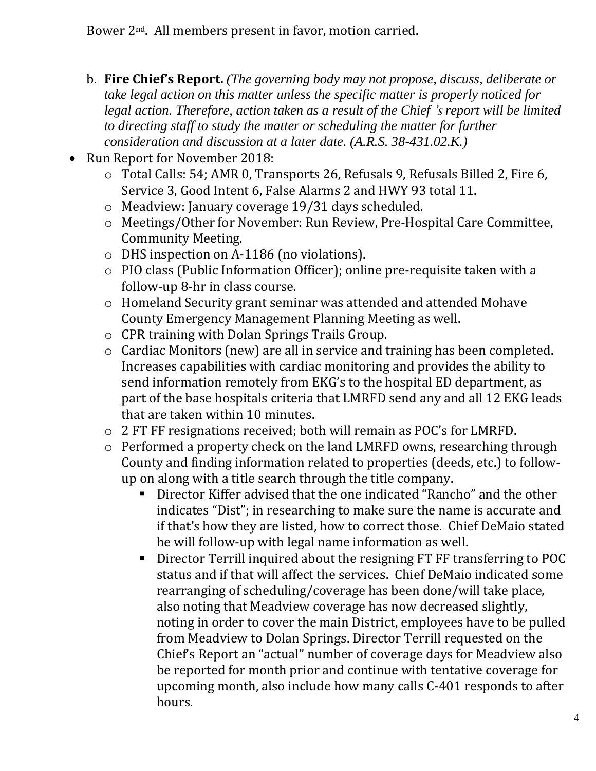- b. **Fire Chief's Report.** *(The governing body may not propose, discuss, deliberate or take legal action on this matter unless the specific matter is properly noticed for legal action. Therefore, action taken as a result of the Chief 's report will be limited to directing staff to study the matter or scheduling the matter for further consideration and discussion at a later date. (A.R.S. 38-431.02.K.)*
- Run Report for November 2018:
	- o Total Calls: 54; AMR 0, Transports 26, Refusals 9, Refusals Billed 2, Fire 6, Service 3, Good Intent 6, False Alarms 2 and HWY 93 total 11.
	- o Meadview: January coverage 19/31 days scheduled.
	- o Meetings/Other for November: Run Review, Pre-Hospital Care Committee, Community Meeting.
	- o DHS inspection on A-1186 (no violations).
	- o PIO class (Public Information Officer); online pre-requisite taken with a follow-up 8-hr in class course.
	- o Homeland Security grant seminar was attended and attended Mohave County Emergency Management Planning Meeting as well.
	- o CPR training with Dolan Springs Trails Group.
	- o Cardiac Monitors (new) are all in service and training has been completed. Increases capabilities with cardiac monitoring and provides the ability to send information remotely from EKG's to the hospital ED department, as part of the base hospitals criteria that LMRFD send any and all 12 EKG leads that are taken within 10 minutes.
	- o 2 FT FF resignations received; both will remain as POC's for LMRFD.
	- o Performed a property check on the land LMRFD owns, researching through County and finding information related to properties (deeds, etc.) to followup on along with a title search through the title company.
		- Director Kiffer advised that the one indicated "Rancho" and the other indicates "Dist"; in researching to make sure the name is accurate and if that's how they are listed, how to correct those. Chief DeMaio stated he will follow-up with legal name information as well.
		- Director Terrill inquired about the resigning FT FF transferring to POC status and if that will affect the services. Chief DeMaio indicated some rearranging of scheduling/coverage has been done/will take place, also noting that Meadview coverage has now decreased slightly, noting in order to cover the main District, employees have to be pulled from Meadview to Dolan Springs. Director Terrill requested on the Chief's Report an "actual" number of coverage days for Meadview also be reported for month prior and continue with tentative coverage for upcoming month, also include how many calls C-401 responds to after hours.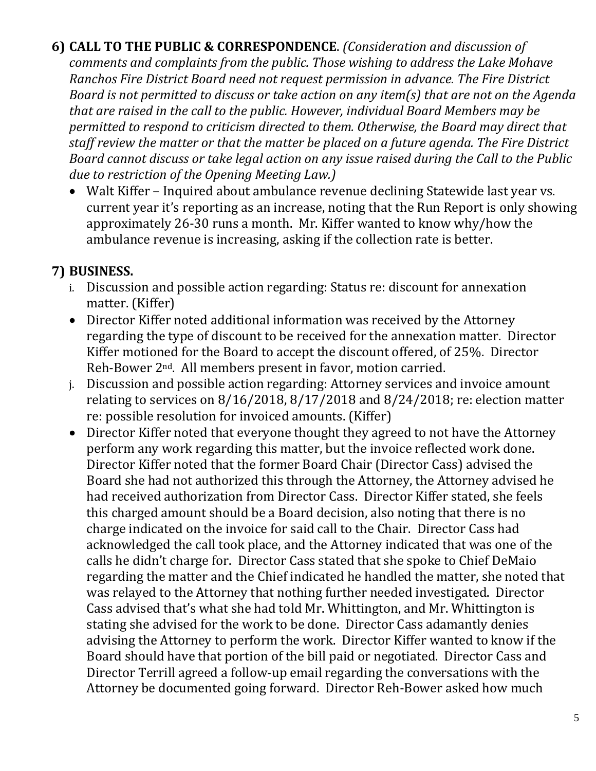**6) CALL TO THE PUBLIC & CORRESPONDENCE**. *(Consideration and discussion of comments and complaints from the public. Those wishing to address the Lake Mohave Ranchos Fire District Board need not request permission in advance. The Fire District Board is not permitted to discuss or take action on any item(s) that are not on the Agenda that are raised in the call to the public. However, individual Board Members may be permitted to respond to criticism directed to them. Otherwise, the Board may direct that staff review the matter or that the matter be placed on a future agenda. The Fire District Board cannot discuss or take legal action on any issue raised during the Call to the Public due to restriction of the Opening Meeting Law.)*

• Walt Kiffer – Inquired about ambulance revenue declining Statewide last year vs. current year it's reporting as an increase, noting that the Run Report is only showing approximately 26-30 runs a month. Mr. Kiffer wanted to know why/how the ambulance revenue is increasing, asking if the collection rate is better.

# **7) BUSINESS.**

- i. Discussion and possible action regarding: Status re: discount for annexation matter. (Kiffer)
- Director Kiffer noted additional information was received by the Attorney regarding the type of discount to be received for the annexation matter. Director Kiffer motioned for the Board to accept the discount offered, of 25%. Director Reh-Bower 2nd. All members present in favor, motion carried.
- j. Discussion and possible action regarding: Attorney services and invoice amount relating to services on 8/16/2018, 8/17/2018 and 8/24/2018; re: election matter re: possible resolution for invoiced amounts. (Kiffer)
- Director Kiffer noted that everyone thought they agreed to not have the Attorney perform any work regarding this matter, but the invoice reflected work done. Director Kiffer noted that the former Board Chair (Director Cass) advised the Board she had not authorized this through the Attorney, the Attorney advised he had received authorization from Director Cass. Director Kiffer stated, she feels this charged amount should be a Board decision, also noting that there is no charge indicated on the invoice for said call to the Chair. Director Cass had acknowledged the call took place, and the Attorney indicated that was one of the calls he didn't charge for. Director Cass stated that she spoke to Chief DeMaio regarding the matter and the Chief indicated he handled the matter, she noted that was relayed to the Attorney that nothing further needed investigated. Director Cass advised that's what she had told Mr. Whittington, and Mr. Whittington is stating she advised for the work to be done. Director Cass adamantly denies advising the Attorney to perform the work. Director Kiffer wanted to know if the Board should have that portion of the bill paid or negotiated. Director Cass and Director Terrill agreed a follow-up email regarding the conversations with the Attorney be documented going forward. Director Reh-Bower asked how much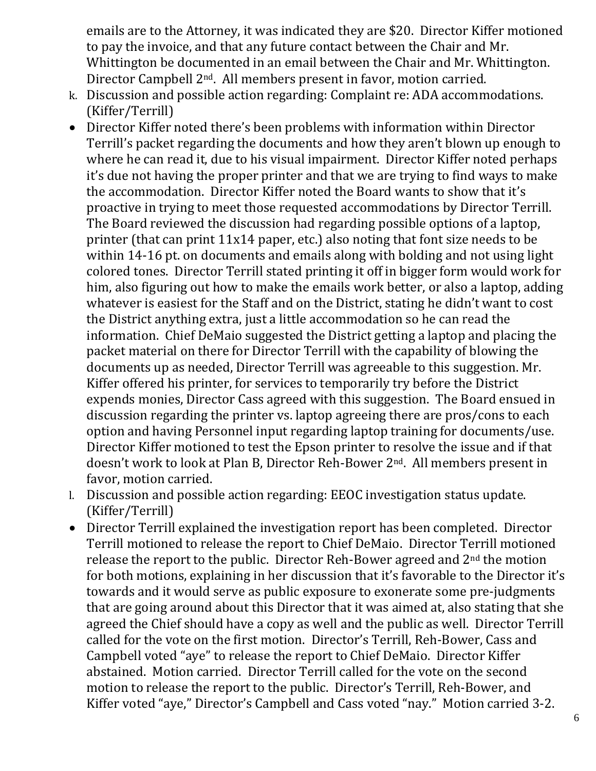emails are to the Attorney, it was indicated they are \$20. Director Kiffer motioned to pay the invoice, and that any future contact between the Chair and Mr. Whittington be documented in an email between the Chair and Mr. Whittington. Director Campbell 2nd. All members present in favor, motion carried.

- k. Discussion and possible action regarding: Complaint re: ADA accommodations. (Kiffer/Terrill)
- Director Kiffer noted there's been problems with information within Director Terrill's packet regarding the documents and how they aren't blown up enough to where he can read it, due to his visual impairment. Director Kiffer noted perhaps it's due not having the proper printer and that we are trying to find ways to make the accommodation. Director Kiffer noted the Board wants to show that it's proactive in trying to meet those requested accommodations by Director Terrill. The Board reviewed the discussion had regarding possible options of a laptop, printer (that can print 11x14 paper, etc.) also noting that font size needs to be within 14-16 pt. on documents and emails along with bolding and not using light colored tones. Director Terrill stated printing it off in bigger form would work for him, also figuring out how to make the emails work better, or also a laptop, adding whatever is easiest for the Staff and on the District, stating he didn't want to cost the District anything extra, just a little accommodation so he can read the information. Chief DeMaio suggested the District getting a laptop and placing the packet material on there for Director Terrill with the capability of blowing the documents up as needed, Director Terrill was agreeable to this suggestion. Mr. Kiffer offered his printer, for services to temporarily try before the District expends monies, Director Cass agreed with this suggestion. The Board ensued in discussion regarding the printer vs. laptop agreeing there are pros/cons to each option and having Personnel input regarding laptop training for documents/use. Director Kiffer motioned to test the Epson printer to resolve the issue and if that doesn't work to look at Plan B, Director Reh-Bower 2nd. All members present in favor, motion carried.
- l. Discussion and possible action regarding: EEOC investigation status update. (Kiffer/Terrill)
- Director Terrill explained the investigation report has been completed. Director Terrill motioned to release the report to Chief DeMaio. Director Terrill motioned release the report to the public. Director Reh-Bower agreed and 2nd the motion for both motions, explaining in her discussion that it's favorable to the Director it's towards and it would serve as public exposure to exonerate some pre-judgments that are going around about this Director that it was aimed at, also stating that she agreed the Chief should have a copy as well and the public as well. Director Terrill called for the vote on the first motion. Director's Terrill, Reh-Bower, Cass and Campbell voted "aye" to release the report to Chief DeMaio. Director Kiffer abstained. Motion carried. Director Terrill called for the vote on the second motion to release the report to the public. Director's Terrill, Reh-Bower, and Kiffer voted "aye," Director's Campbell and Cass voted "nay." Motion carried 3-2.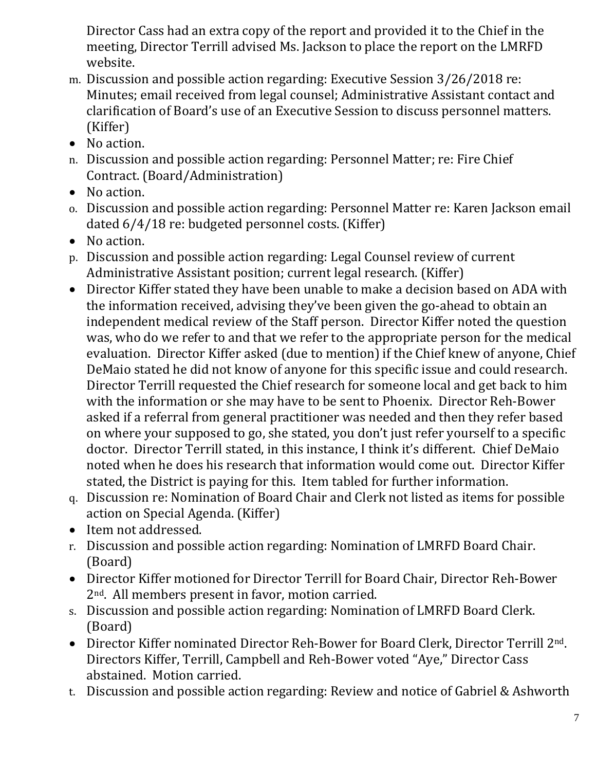Director Cass had an extra copy of the report and provided it to the Chief in the meeting, Director Terrill advised Ms. Jackson to place the report on the LMRFD website.

- m. Discussion and possible action regarding: Executive Session 3/26/2018 re: Minutes; email received from legal counsel; Administrative Assistant contact and clarification of Board's use of an Executive Session to discuss personnel matters. (Kiffer)
- No action.
- n. Discussion and possible action regarding: Personnel Matter; re: Fire Chief Contract. (Board/Administration)
- No action.
- o. Discussion and possible action regarding: Personnel Matter re: Karen Jackson email dated 6/4/18 re: budgeted personnel costs. (Kiffer)
- No action.
- p. Discussion and possible action regarding: Legal Counsel review of current Administrative Assistant position; current legal research. (Kiffer)
- Director Kiffer stated they have been unable to make a decision based on ADA with the information received, advising they've been given the go-ahead to obtain an independent medical review of the Staff person. Director Kiffer noted the question was, who do we refer to and that we refer to the appropriate person for the medical evaluation. Director Kiffer asked (due to mention) if the Chief knew of anyone, Chief DeMaio stated he did not know of anyone for this specific issue and could research. Director Terrill requested the Chief research for someone local and get back to him with the information or she may have to be sent to Phoenix. Director Reh-Bower asked if a referral from general practitioner was needed and then they refer based on where your supposed to go, she stated, you don't just refer yourself to a specific doctor. Director Terrill stated, in this instance, I think it's different. Chief DeMaio noted when he does his research that information would come out. Director Kiffer stated, the District is paying for this. Item tabled for further information.
- q. Discussion re: Nomination of Board Chair and Clerk not listed as items for possible action on Special Agenda. (Kiffer)
- Item not addressed.
- r. Discussion and possible action regarding: Nomination of LMRFD Board Chair. (Board)
- Director Kiffer motioned for Director Terrill for Board Chair, Director Reh-Bower 2nd. All members present in favor, motion carried.
- s. Discussion and possible action regarding: Nomination of LMRFD Board Clerk. (Board)
- Director Kiffer nominated Director Reh-Bower for Board Clerk, Director Terrill 2<sup>nd</sup>. Directors Kiffer, Terrill, Campbell and Reh-Bower voted "Aye," Director Cass abstained. Motion carried.
- t. Discussion and possible action regarding: Review and notice of Gabriel & Ashworth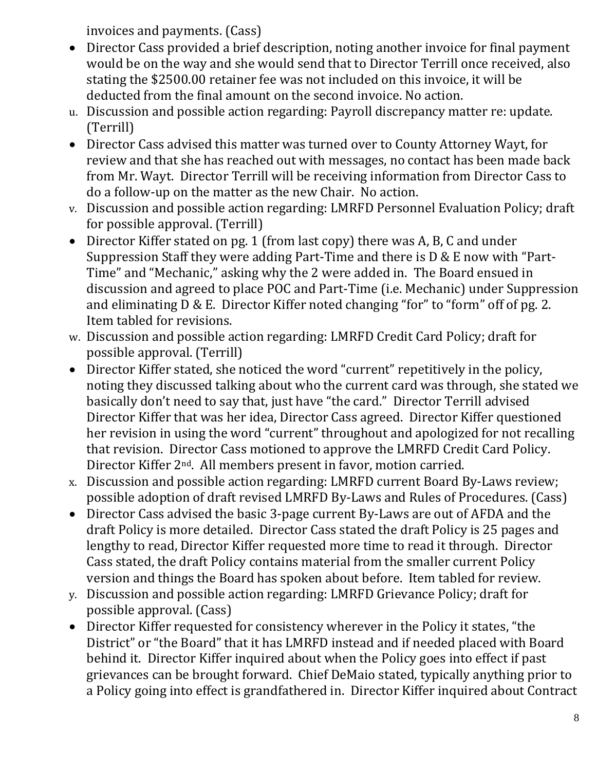invoices and payments. (Cass)

- Director Cass provided a brief description, noting another invoice for final payment would be on the way and she would send that to Director Terrill once received, also stating the \$2500.00 retainer fee was not included on this invoice, it will be deducted from the final amount on the second invoice. No action.
- u. Discussion and possible action regarding: Payroll discrepancy matter re: update. (Terrill)
- Director Cass advised this matter was turned over to County Attorney Wayt, for review and that she has reached out with messages, no contact has been made back from Mr. Wayt. Director Terrill will be receiving information from Director Cass to do a follow-up on the matter as the new Chair. No action.
- v. Discussion and possible action regarding: LMRFD Personnel Evaluation Policy; draft for possible approval. (Terrill)
- Director Kiffer stated on pg. 1 (from last copy) there was A, B, C and under Suppression Staff they were adding Part-Time and there is D & E now with "Part-Time" and "Mechanic," asking why the 2 were added in. The Board ensued in discussion and agreed to place POC and Part-Time (i.e. Mechanic) under Suppression and eliminating D & E. Director Kiffer noted changing "for" to "form" off of pg. 2. Item tabled for revisions.
- w. Discussion and possible action regarding: LMRFD Credit Card Policy; draft for possible approval. (Terrill)
- Director Kiffer stated, she noticed the word "current" repetitively in the policy, noting they discussed talking about who the current card was through, she stated we basically don't need to say that, just have "the card." Director Terrill advised Director Kiffer that was her idea, Director Cass agreed. Director Kiffer questioned her revision in using the word "current" throughout and apologized for not recalling that revision. Director Cass motioned to approve the LMRFD Credit Card Policy. Director Kiffer 2nd. All members present in favor, motion carried.
- x. Discussion and possible action regarding: LMRFD current Board By-Laws review; possible adoption of draft revised LMRFD By-Laws and Rules of Procedures. (Cass)
- Director Cass advised the basic 3-page current By-Laws are out of AFDA and the draft Policy is more detailed. Director Cass stated the draft Policy is 25 pages and lengthy to read, Director Kiffer requested more time to read it through. Director Cass stated, the draft Policy contains material from the smaller current Policy version and things the Board has spoken about before. Item tabled for review.
- y. Discussion and possible action regarding: LMRFD Grievance Policy; draft for possible approval. (Cass)
- Director Kiffer requested for consistency wherever in the Policy it states, "the District" or "the Board" that it has LMRFD instead and if needed placed with Board behind it. Director Kiffer inquired about when the Policy goes into effect if past grievances can be brought forward. Chief DeMaio stated, typically anything prior to a Policy going into effect is grandfathered in. Director Kiffer inquired about Contract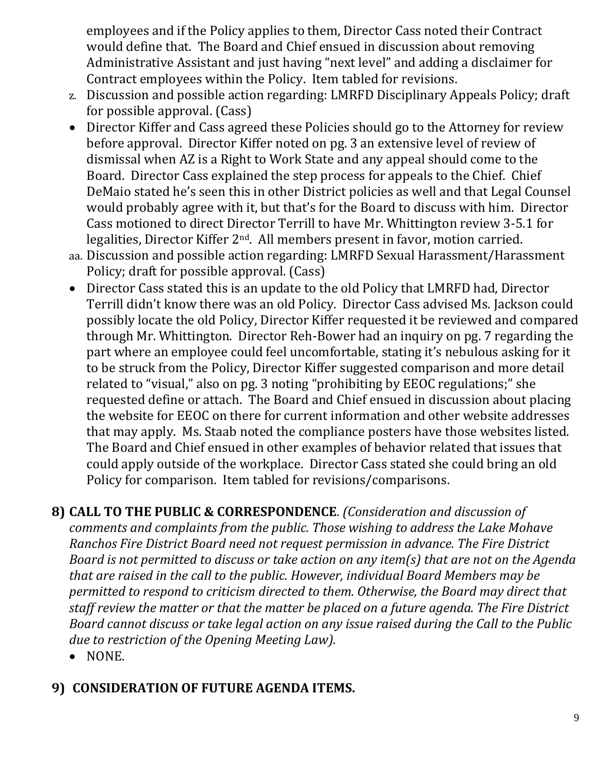employees and if the Policy applies to them, Director Cass noted their Contract would define that. The Board and Chief ensued in discussion about removing Administrative Assistant and just having "next level" and adding a disclaimer for Contract employees within the Policy. Item tabled for revisions.

- z. Discussion and possible action regarding: LMRFD Disciplinary Appeals Policy; draft for possible approval. (Cass)
- Director Kiffer and Cass agreed these Policies should go to the Attorney for review before approval. Director Kiffer noted on pg. 3 an extensive level of review of dismissal when AZ is a Right to Work State and any appeal should come to the Board. Director Cass explained the step process for appeals to the Chief. Chief DeMaio stated he's seen this in other District policies as well and that Legal Counsel would probably agree with it, but that's for the Board to discuss with him. Director Cass motioned to direct Director Terrill to have Mr. Whittington review 3-5.1 for legalities, Director Kiffer 2nd. All members present in favor, motion carried.
- aa. Discussion and possible action regarding: LMRFD Sexual Harassment/Harassment Policy; draft for possible approval. (Cass)
- Director Cass stated this is an update to the old Policy that LMRFD had, Director Terrill didn't know there was an old Policy. Director Cass advised Ms. Jackson could possibly locate the old Policy, Director Kiffer requested it be reviewed and compared through Mr. Whittington. Director Reh-Bower had an inquiry on pg. 7 regarding the part where an employee could feel uncomfortable, stating it's nebulous asking for it to be struck from the Policy, Director Kiffer suggested comparison and more detail related to "visual," also on pg. 3 noting "prohibiting by EEOC regulations;" she requested define or attach. The Board and Chief ensued in discussion about placing the website for EEOC on there for current information and other website addresses that may apply. Ms. Staab noted the compliance posters have those websites listed. The Board and Chief ensued in other examples of behavior related that issues that could apply outside of the workplace. Director Cass stated she could bring an old Policy for comparison. Item tabled for revisions/comparisons.
- **8) CALL TO THE PUBLIC & CORRESPONDENCE**. *(Consideration and discussion of comments and complaints from the public. Those wishing to address the Lake Mohave Ranchos Fire District Board need not request permission in advance. The Fire District Board is not permitted to discuss or take action on any item(s) that are not on the Agenda that are raised in the call to the public. However, individual Board Members may be permitted to respond to criticism directed to them. Otherwise, the Board may direct that staff review the matter or that the matter be placed on a future agenda. The Fire District Board cannot discuss or take legal action on any issue raised during the Call to the Public due to restriction of the Opening Meeting Law).*
	- NONE.

### **9) CONSIDERATION OF FUTURE AGENDA ITEMS.**